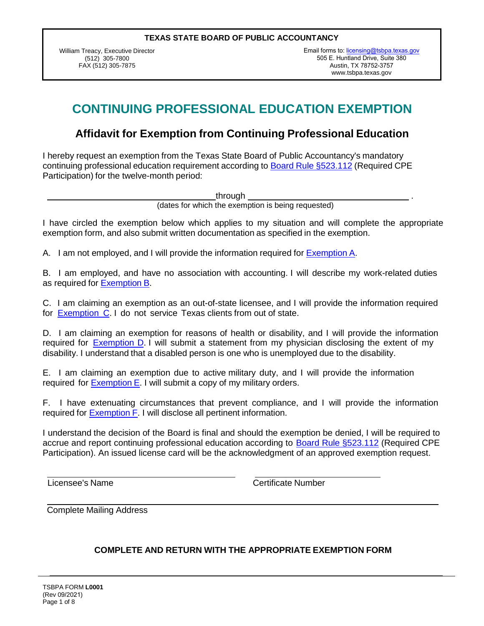William Treacy, Executive Director (512) 305-7800 FAX (512) 305-7875

Email forms to: [licensing@tsbpa.texas.gov](mailto:licensing@tsbpa.texas.gov) 505 E. Huntland Drive, Suite 380 Austin, TX 78752-3757 [www.tsbpa.texas.gov](https://www.tsbpa.texas.gov/)

# **CONTINUING PROFESSIONAL EDUCATION EXEMPTION**

### **Affidavit for Exemption from Continuing Professional Education**

I hereby request an exemption from the Texas State Board of Public Accountancy's mandatory continuing professional education requirement according to Board Rule §523.112 (Required CPE Participation) for the twelve-month period:

through .

(dates for which the exemption is being requested)

I have circled the exemption below which applies to my situation and will complete the appropriate exemption form, and also submit written documentation as specified in the exemption.

A. I am not employed, and I will provide the information required for Exemption A.

B. I am employed, and have no association with accounting. I will describe my work-related duties as required for Exemption B.

C. I am claiming an exemption as an out-of-state licensee, and I will provide the information required for Exemption C. I do not service Texas clients from out of state.

D. I am claiming an exemption for reasons of health or disability, and I will provide the information required for **Exemption D.** I will submit a statement from my physician disclosing the extent of my disability. I understand that a disabled person is one who is unemployed due to the disability.

E. I am claiming an exemption due to active military duty, and I will provide the information required for Exemption E. I will submit a copy of my military orders.

F. I have extenuating circumstances that prevent compliance, and I will provide the information required for Exemption F. I will disclose all pertinent information.

I understand the decision of the Board is final and should the exemption be denied, I will be required to accrue and report continuing professional education according to **Board Rule §523.112** (Required CPE Participation). An issued license card will be the acknowledgment of an approved exemption request.

Licensee's Name Certificate Number

Complete Mailing Address

#### **COMPLETE AND RETURN WITH THE APPROPRIATE EXEMPTION FORM**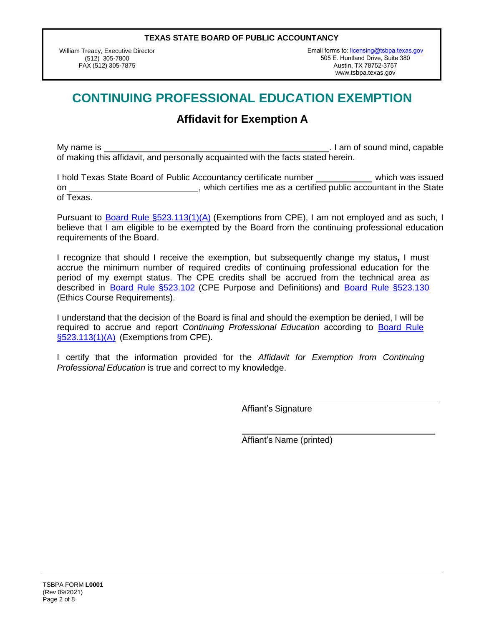William Treacy, Executive Director (512) 305-7800 FAX (512) 305-7875

Email forms to: licensing@tsbpa.texas.gov 505 E. Huntland Drive, Suite 380 Austin, TX 78752-3757 [www.tsbpa.texas.go](https://www.tsbpa.texas.gov/)v

## **CONTINUING PROFESSIONAL EDUCATION EXEMPTION**

### **Affidavit for Exemption A**

My name is . I am of sound mind, capable is . I am of sound mind, capable of making this affidavit, and personally acquainted with the facts stated herein.

I hold Texas State Board of Public Accountancy certificate number which was issued on \_\_\_\_\_\_\_\_\_\_\_\_\_\_\_\_\_\_\_\_\_\_\_\_\_\_\_\_\_\_, which certifies me as a certified public accountant in the State of Texas.

Pursuant to Board Rule §523.113(1)(A) (Exemptions from CPE), I am not employed and as such, I believe that I am eligible to be exempted by the Board from the continuing professional education requirements of the Board.

I recognize that should I receive the exemption, but subsequently change my status**,** I must accrue the minimum number of required credits of continuing professional education for the period of my exempt status. The CPE credits shall be accrued from the technical area as described in Board Rule §523.102 (CPE Purpose and Definitions) and Board Rule §523.130 (Ethics Course Requirements).

I understand that the decision of the Board is final and should the exemption be denied, I will be required to accrue and report *Continuing Professional Education* according to Board Rule §523.113(1)(A) (Exemptions from CPE).

I certify that the information provided for the *Affidavit for Exemption from Continuing Professional Education* is true and correct to my knowledge.

Affiant's Signature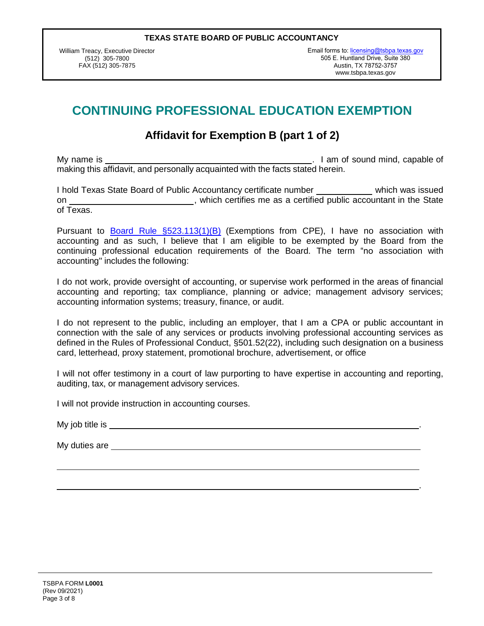William Treacy, Executive Director (512) 305-7800 FAX (512) 305-7875

Email forms to: licensing@tsbpa.texas.gov 505 E. Huntland Drive, Suite 380 Austin, TX 78752-3757 [www.tsbpa.texas.go](https://www.tsbpa.texas.gov/)v

.

## **CONTINUING PROFESSIONAL EDUCATION EXEMPTION**

## **Affidavit for Exemption B (part 1 of 2)**

My name is . I am of sound mind, capable of making this affidavit, and personally acquainted with the facts stated herein.

I hold Texas State Board of Public Accountancy certificate number which was issued on on the State controller which certifies me as a certified public accountant in the State of Texas.

Pursuant to Board Rule §523.113(1)(B) (Exemptions from CPE), I have no association with accounting and as such, I believe that I am eligible to be exempted by the Board from the continuing professional education requirements of the Board. The term "no association with accounting" includes the following:

I do not work, provide oversight of accounting, or supervise work performed in the areas of financial accounting and reporting; tax compliance, planning or advice; management advisory services; accounting information systems; treasury, finance, or audit.

I do not represent to the public, including an employer, that I am a CPA or public accountant in connection with the sale of any services or products involving professional accounting services as defined in the Rules of Professional Conduct, §501.52(22), including such designation on a business card, letterhead, proxy statement, promotional brochure, advertisement, or office

I will not offer testimony in a court of law purporting to have expertise in accounting and reporting, auditing, tax, or management advisory services.

I will not provide instruction in accounting courses.

My job title is .

My duties are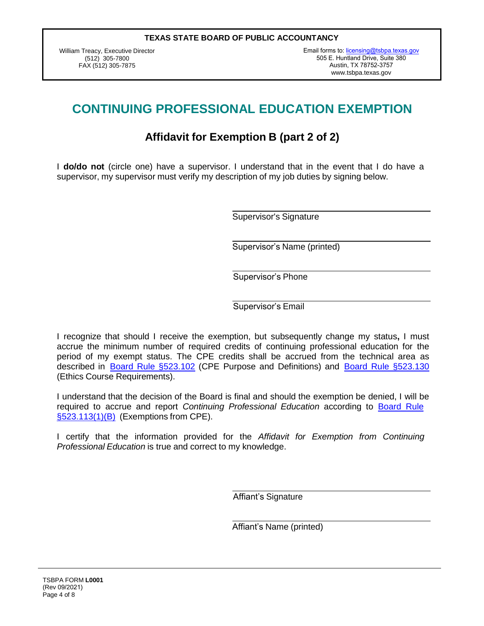William Treacy, Executive Director (512) 305-7800 FAX (512) 305-7875

Email forms to: licensing@tsbpa.texas.gov 505 E. Huntland Drive, Suite 380 Austin, TX 78752-3757 [www.tsbpa.texas.gov](https://www.tsbpa.texas.gov/)

# **CONTINUING PROFESSIONAL EDUCATION EXEMPTION**

## **Affidavit for Exemption B (part 2 of 2)**

I **do/do not** (circle one) have a supervisor. I understand that in the event that I do have a supervisor, my supervisor must verify my description of my job duties by signing below.

Supervisor's Signature

Supervisor's Name (printed)

Supervisor's Phone

Supervisor's Email

I recognize that should I receive the exemption, but subsequently change my status**,** I must accrue the minimum number of required credits of continuing professional education for the period of my exempt status. The CPE credits shall be accrued from the technical area as described in **Board Rule §523.102** (CPE Purpose and Definitions) and **Board Rule §523.130** (Ethics Course Requirements).

I understand that the decision of the Board is final and should the exemption be denied, I will be required to accrue and report *Continuing Professional Education* according to Board Rule §523.113(1)(B) (Exemptions from CPE).

I certify that the information provided for the *Affidavit for Exemption from Continuing Professional Education* is true and correct to my knowledge.

Affiant's Signature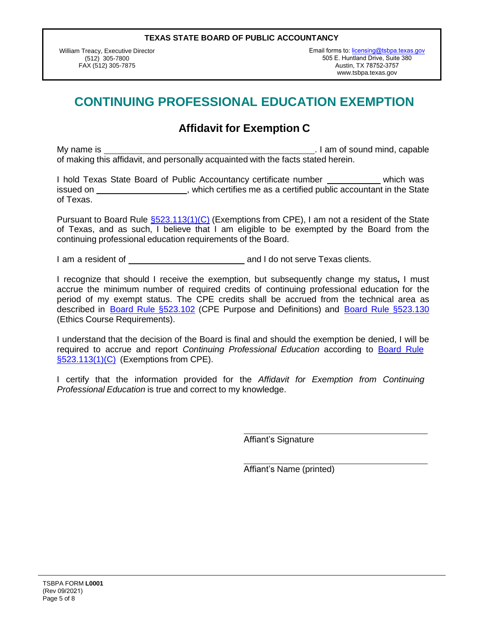William Treacy, Executive Director (512) 305-7800 FAX (512) 305-7875

Email forms to: licensing@tsbpa.texas.gov 505 E. Huntland Drive, Suite 380 Austin, TX 78752-3757 [www.tsbpa.texas.go](https://www.tsbpa.texas.gov/)v

# **CONTINUING PROFESSIONAL EDUCATION EXEMPTION**

### **Affidavit for Exemption C**

My name is . I am of sound mind, capable is . I am of sound mind, capable of making this affidavit, and personally acquainted with the facts stated herein.

I hold Texas State Board of Public Accountancy certificate number which was issued on  $\blacksquare$ , which certifies me as a certified public accountant in the State of Texas.

Pursuant to Board Rule §523.113(1)(C) (Exemptions from CPE), I am not a resident of the State of Texas, and as such, I believe that I am eligible to be exempted by the Board from the continuing professional education requirements of the Board.

I am a resident of and I do not serve Texas clients.

I recognize that should I receive the exemption, but subsequently change my status**,** I must accrue the minimum number of required credits of continuing professional education for the period of my exempt status. The CPE credits shall be accrued from the technical area as described in Board Rule §523.102 (CPE Purpose and Definitions) and Board Rule §523.130 (Ethics Course Requirements).

I understand that the decision of the Board is final and should the exemption be denied, I will be required to accrue and report *Continuing Professional Education* according to Board Rule §523.113(1)(C) (Exemptions from CPE).

I certify that the information provided for the *Affidavit for Exemption from Continuing Professional Education* is true and correct to my knowledge.

Affiant's Signature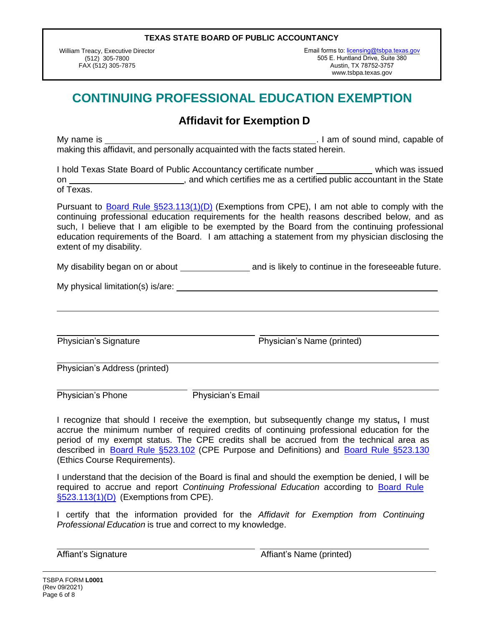William Treacy, Executive Director (512) 305-7800 FAX (512) 305-7875

Email forms to: licensing@tsbpa.texas.gov 505 E. Huntland Drive, Suit[e 380](https://www.tsbpa.texas.gov/) Austin, TX 78752-3757 [www.tsbpa.texas.gov](https://www.tsbpa.texas.gov/)

## **CONTINUING PROFESSIONAL EDUCATION EXEMPTION**

### **Affidavit for Exemption D**

My name is . I am of sound mind, capable of making this affidavit, and personally acquainted with the facts stated herein.

I hold Texas State Board of Public Accountancy certificate number which was issued on \_\_\_\_\_\_\_\_\_\_\_\_\_\_\_\_\_\_\_\_\_\_\_\_\_\_\_, and which certifies me as a certified public accountant in the State of Texas.

Pursuant to **Board Rule §523.113(1)(D)** (Exemptions from CPE), I am not able to comply with the continuing professional education requirements for the health reasons described below, and as such, I believe that I am eligible to be exempted by the Board from the continuing professional education requirements of the Board. I am attaching a statement from my physician disclosing the extent of my disability.

My disability began on or about \_\_\_\_\_\_\_\_\_\_\_\_\_\_\_\_\_\_\_\_ and is likely to continue in the foreseeable future.

My physical limitation(s) is/are:

Physician's Signature **Physician's Name (printed)** 

Physician's Address (printed)

Physician's Phone Physician's Email

I recognize that should I receive the exemption, but subsequently change my status**,** I must accrue the minimum number of required credits of continuing professional education for the period of my exempt status. The CPE credits shall be accrued from the technical area as described in Board Rule §523.102 (CPE Purpose and Definitions) and Board Rule §523.130 (Ethics Course Requirements).

I understand that the decision of the Board is final and should the exemption be denied, I will be required to accrue and report *Continuing Professional Education* according to Board Rule §523.113(1)(D) (Exemptions from CPE).

I certify that the information provided for the *Affidavit for Exemption from Continuing Professional Education* is true and correct to my knowledge.

Affiant's Signature Affiant's Name (printed)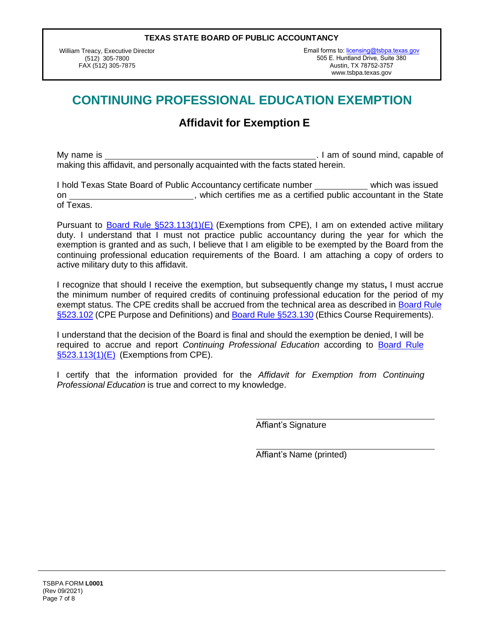William Treacy, Executive Director (512) 305-7800 FAX (512) 305-7875

Email forms to: licensing@tsbpa.texas.gov 505 E. Huntland Drive, Suit[e 380](https://www.tsbpa.texas.gov/) Austin, TX 78752-3757 [www.tsbpa.texas.gov](https://www.tsbpa.texas.gov/) 

# **CONTINUING PROFESSIONAL EDUCATION EXEMPTION**

## **Affidavit for Exemption E**

My name is . I am of sound mind, capable of making this affidavit, and personally acquainted with the facts stated herein.

I hold Texas State Board of Public Accountancy certificate number which was issued on \_\_\_\_\_\_\_\_\_\_\_\_\_\_\_\_\_\_\_\_\_\_\_\_\_\_\_\_\_, which certifies me as a certified public accountant in the State of Texas.

Pursuant to Board Rule §523.113(1)(E) (Exemptions from CPE), I am on extended active military duty. I understand that I must not practice public accountancy during the year for which the exemption is granted and as such, I believe that I am eligible to be exempted by the Board from the continuing professional education requirements of the Board. I am attaching a copy of orders to active military duty to this affidavit.

I recognize that should I receive the exemption, but subsequently change my status**,** I must accrue the minimum number of required credits of continuing professional education for the period of my exempt status. The CPE credits shall be accrued from the technical area as described in Board Rule §523.102 (CPE Purpose and Definitions) and Board Rule §523.130 (Ethics Course Requirements).

I understand that the decision of the Board is final and should the exemption be denied, I will be required to accrue and report *Continuing Professional Education* according to Board Rule §523.113(1)(E) (Exemptions from CPE).

I certify that the information provided for the *Affidavit for Exemption from Continuing Professional Education* is true and correct to my knowledge.

Affiant's Signature